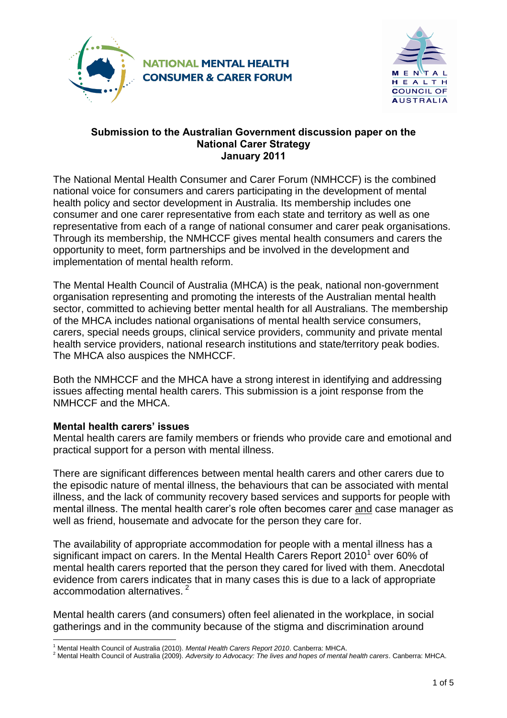



#### **Submission to the Australian Government discussion paper on the National Carer Strategy January 2011**

The National Mental Health Consumer and Carer Forum (NMHCCF) is the combined national voice for consumers and carers participating in the development of mental health policy and sector development in Australia. Its membership includes one consumer and one carer representative from each state and territory as well as one representative from each of a range of national consumer and carer peak organisations. Through its membership, the NMHCCF gives mental health consumers and carers the opportunity to meet, form partnerships and be involved in the development and implementation of mental health reform.

The Mental Health Council of Australia (MHCA) is the peak, national non-government organisation representing and promoting the interests of the Australian mental health sector, committed to achieving better mental health for all Australians. The membership of the MHCA includes national organisations of mental health service consumers, carers, special needs groups, clinical service providers, community and private mental health service providers, national research institutions and state/territory peak bodies. The MHCA also auspices the NMHCCF.

Both the NMHCCF and the MHCA have a strong interest in identifying and addressing issues affecting mental health carers. This submission is a joint response from the NMHCCF and the MHCA.

# **Mental health carers' issues**

Mental health carers are family members or friends who provide care and emotional and practical support for a person with mental illness.

There are significant differences between mental health carers and other carers due to the episodic nature of mental illness, the behaviours that can be associated with mental illness, and the lack of community recovery based services and supports for people with mental illness. The mental health carer's role often becomes carer and case manager as well as friend, housemate and advocate for the person they care for.

The availability of appropriate accommodation for people with a mental illness has a significant impact on carers. In the Mental Health Carers Report 2010<sup>1</sup> over 60% of mental health carers reported that the person they cared for lived with them. Anecdotal evidence from carers indicates that in many cases this is due to a lack of appropriate accommodation alternatives.<sup>2</sup>

Mental health carers (and consumers) often feel alienated in the workplace, in social gatherings and in the community because of the stigma and discrimination around

l <sup>1</sup> Mental Health Council of Australia (2010). *Mental Health Carers Report 2010*. Canberra: MHCA.

<sup>2</sup> Mental Health Council of Australia (2009). *Adversity to Advocacy: The lives and hopes of mental health carers*. Canberra: MHCA.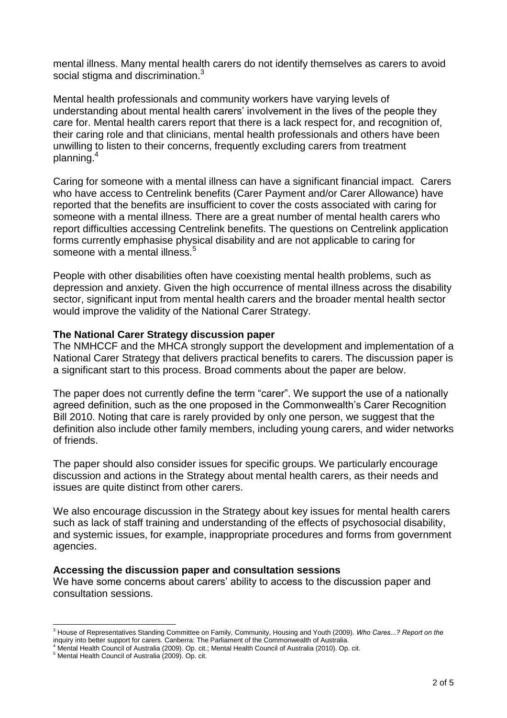mental illness. Many mental health carers do not identify themselves as carers to avoid social stigma and discrimination.<sup>3</sup>

Mental health professionals and community workers have varying levels of understanding about mental health carers' involvement in the lives of the people they care for. Mental health carers report that there is a lack respect for, and recognition of, their caring role and that clinicians, mental health professionals and others have been unwilling to listen to their concerns, frequently excluding carers from treatment planning.<sup>4</sup>

Caring for someone with a mental illness can have a significant financial impact. Carers who have access to Centrelink benefits (Carer Payment and/or Carer Allowance) have reported that the benefits are insufficient to cover the costs associated with caring for someone with a mental illness. There are a great number of mental health carers who report difficulties accessing Centrelink benefits. The questions on Centrelink application forms currently emphasise physical disability and are not applicable to caring for someone with a mental illness.<sup>5</sup>

People with other disabilities often have coexisting mental health problems, such as depression and anxiety. Given the high occurrence of mental illness across the disability sector, significant input from mental health carers and the broader mental health sector would improve the validity of the National Carer Strategy.

# **The National Carer Strategy discussion paper**

The NMHCCF and the MHCA strongly support the development and implementation of a National Carer Strategy that delivers practical benefits to carers. The discussion paper is a significant start to this process. Broad comments about the paper are below.

The paper does not currently define the term "carer". We support the use of a nationally agreed definition, such as the one proposed in the Commonwealth's Carer Recognition Bill 2010. Noting that care is rarely provided by only one person, we suggest that the definition also include other family members, including young carers, and wider networks of friends.

The paper should also consider issues for specific groups. We particularly encourage discussion and actions in the Strategy about mental health carers, as their needs and issues are quite distinct from other carers.

We also encourage discussion in the Strategy about key issues for mental health carers such as lack of staff training and understanding of the effects of psychosocial disability, and systemic issues, for example, inappropriate procedures and forms from government agencies.

#### **Accessing the discussion paper and consultation sessions**

We have some concerns about carers' ability to access to the discussion paper and consultation sessions.

l <sup>3</sup> House of Representatives Standing Committee on Family, Community, Housing and Youth (2009). *Who Cares...? Report on the*  inquiry into better support for carers. Canberra: The Parliament of the Commonwealth of Australia.

<sup>4</sup> Mental Health Council of Australia (2009). Op. cit.; Mental Health Council of Australia (2010). Op. cit.

<sup>5</sup> Mental Health Council of Australia (2009). Op. cit.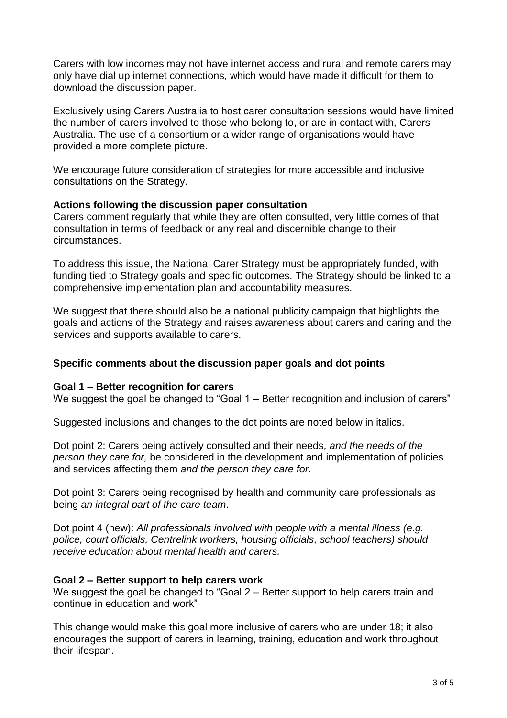Carers with low incomes may not have internet access and rural and remote carers may only have dial up internet connections, which would have made it difficult for them to download the discussion paper.

Exclusively using Carers Australia to host carer consultation sessions would have limited the number of carers involved to those who belong to, or are in contact with, Carers Australia. The use of a consortium or a wider range of organisations would have provided a more complete picture.

We encourage future consideration of strategies for more accessible and inclusive consultations on the Strategy.

# **Actions following the discussion paper consultation**

Carers comment regularly that while they are often consulted, very little comes of that consultation in terms of feedback or any real and discernible change to their circumstances.

To address this issue, the National Carer Strategy must be appropriately funded, with funding tied to Strategy goals and specific outcomes. The Strategy should be linked to a comprehensive implementation plan and accountability measures.

We suggest that there should also be a national publicity campaign that highlights the goals and actions of the Strategy and raises awareness about carers and caring and the services and supports available to carers.

### **Specific comments about the discussion paper goals and dot points**

#### **Goal 1 – Better recognition for carers**

We suggest the goal be changed to "Goal 1 – Better recognition and inclusion of carers"

Suggested inclusions and changes to the dot points are noted below in italics.

Dot point 2: Carers being actively consulted and their needs*, and the needs of the person they care for,* be considered in the development and implementation of policies and services affecting them *and the person they care for*.

Dot point 3: Carers being recognised by health and community care professionals as being *an integral part of the care team*.

Dot point 4 (new): *All professionals involved with people with a mental illness (e.g. police, court officials, Centrelink workers, housing officials, school teachers) should receive education about mental health and carers.*

#### **Goal 2 – Better support to help carers work**

We suggest the goal be changed to "Goal 2 – Better support to help carers train and continue in education and work"

This change would make this goal more inclusive of carers who are under 18; it also encourages the support of carers in learning, training, education and work throughout their lifespan.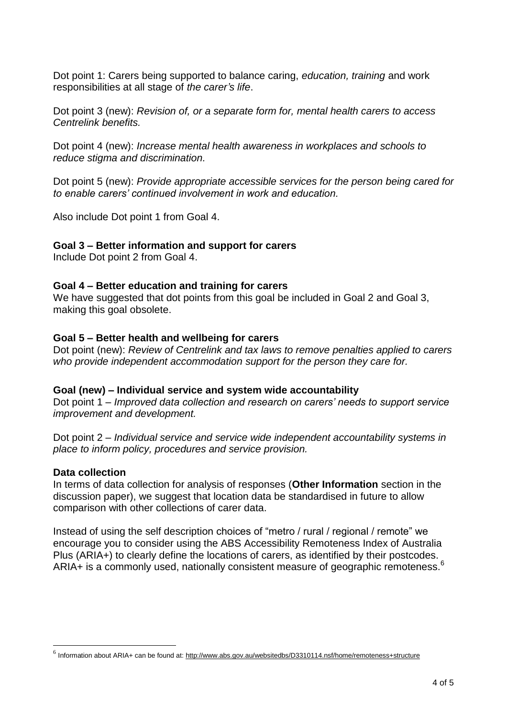Dot point 1: Carers being supported to balance caring, *education, training* and work responsibilities at all stage of *the carer's life*.

Dot point 3 (new): *Revision of, or a separate form for, mental health carers to access Centrelink benefits.*

Dot point 4 (new): *Increase mental health awareness in workplaces and schools to reduce stigma and discrimination.*

Dot point 5 (new): *Provide appropriate accessible services for the person being cared for to enable carers' continued involvement in work and education.* 

Also include Dot point 1 from Goal 4.

### **Goal 3 – Better information and support for carers**

Include Dot point 2 from Goal 4.

#### **Goal 4 – Better education and training for carers**

We have suggested that dot points from this goal be included in Goal 2 and Goal 3, making this goal obsolete.

#### **Goal 5 – Better health and wellbeing for carers**

Dot point (new): *Review of Centrelink and tax laws to remove penalties applied to carers who provide independent accommodation support for the person they care for.*

#### **Goal (new) – Individual service and system wide accountability**

Dot point 1 – *Improved data collection and research on carers' needs to support service improvement and development.*

Dot point 2 – *Individual service and service wide independent accountability systems in place to inform policy, procedures and service provision.*

#### **Data collection**

l

In terms of data collection for analysis of responses (**Other Information** section in the discussion paper), we suggest that location data be standardised in future to allow comparison with other collections of carer data.

Instead of using the self description choices of "metro / rural / regional / remote" we encourage you to consider using the ABS Accessibility Remoteness Index of Australia Plus (ARIA+) to clearly define the locations of carers, as identified by their postcodes. ARIA+ is a commonly used, nationally consistent measure of geographic remoteness.<sup>6</sup>

<sup>&</sup>lt;sup>6</sup> Information about ARIA+ can be found at:<http://www.abs.gov.au/websitedbs/D3310114.nsf/home/remoteness+structure>